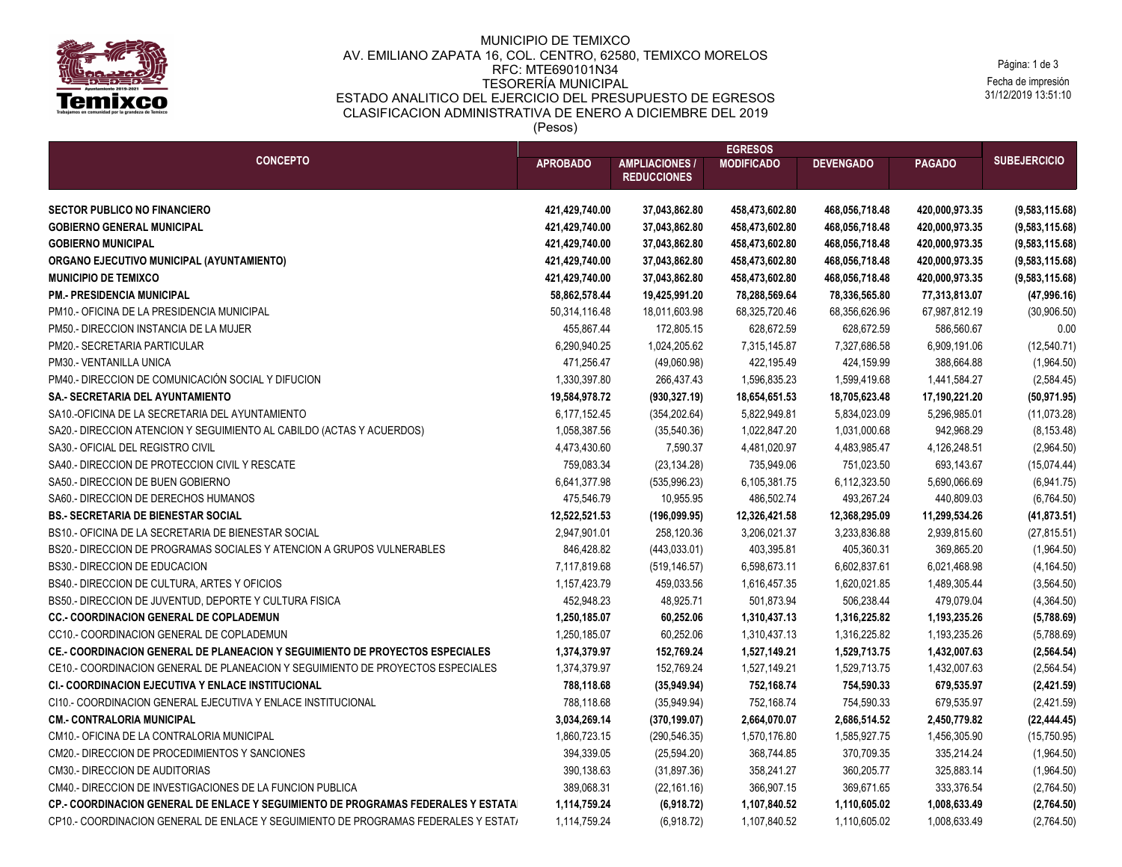

## MUNICIPIO DE TEMIXCO AV. EMILIANO ZAPATA 16, COL. CENTRO, 62580, TEMIXCO MORELOS RFC: MTE690101N34 TESORERÍA MUNICIPAL ESTADO ANALITICO DEL EJERCICIO DEL PRESUPUESTO DE EGRESOS CLASIFICACION ADMINISTRATIVA DE ENERO A DICIEMBRE DEL 2019 (Pesos)

Fecha de impresión 31/12/2019 13:51:10 Página: 1 de 3

| <b>CONCEPTO</b>                                                                     | <b>EGRESOS</b>  |                                            |                                  |                  |                                  |                                  |
|-------------------------------------------------------------------------------------|-----------------|--------------------------------------------|----------------------------------|------------------|----------------------------------|----------------------------------|
|                                                                                     | <b>APROBADO</b> | <b>AMPLIACIONES/</b><br><b>REDUCCIONES</b> | <b>MODIFICADO</b>                | <b>DEVENGADO</b> | <b>PAGADO</b>                    | <b>SUBEJERCICIO</b>              |
| <b>SECTOR PUBLICO NO FINANCIERO</b>                                                 | 421,429,740.00  |                                            | 458,473,602.80                   | 468,056,718.48   | 420,000,973.35                   | (9, 583, 115.68)                 |
| <b>GOBIERNO GENERAL MUNICIPAL</b>                                                   | 421,429,740.00  | 37,043,862.80<br>37,043,862.80             | 458,473,602.80                   | 468,056,718.48   | 420,000,973.35                   | (9,583,115.68)                   |
| <b>GOBIERNO MUNICIPAL</b>                                                           | 421,429,740.00  |                                            |                                  | 468,056,718.48   |                                  |                                  |
| ORGANO EJECUTIVO MUNICIPAL (AYUNTAMIENTO)                                           | 421,429,740.00  | 37,043,862.80<br>37,043,862.80             | 458,473,602.80<br>458,473,602.80 | 468,056,718.48   | 420,000,973.35<br>420,000,973.35 | (9,583,115.68)<br>(9,583,115.68) |
| <b>MUNICIPIO DE TEMIXCO</b>                                                         | 421,429,740.00  | 37,043,862.80                              | 458,473,602.80                   | 468,056,718.48   | 420,000,973.35                   | (9,583,115.68)                   |
| <b>PM. PRESIDENCIA MUNICIPAL</b>                                                    | 58,862,578.44   | 19,425,991.20                              | 78,288,569.64                    | 78,336,565.80    | 77,313,813.07                    | (47,996.16)                      |
| PM10.- OFICINA DE LA PRESIDENCIA MUNICIPAL                                          | 50,314,116.48   | 18,011,603.98                              | 68,325,720.46                    | 68,356,626.96    | 67,987,812.19                    | (30,906.50)                      |
| PM50.- DIRECCION INSTANCIA DE LA MUJER                                              | 455,867.44      | 172,805.15                                 | 628,672.59                       | 628,672.59       | 586,560.67                       | 0.00                             |
| PM20.- SECRETARIA PARTICULAR                                                        | 6,290,940.25    | 1,024,205.62                               | 7,315,145.87                     | 7,327,686.58     | 6,909,191.06                     | (12,540.71)                      |
| PM30.- VENTANILLA UNICA                                                             | 471,256.47      | (49,060.98)                                | 422,195.49                       | 424,159.99       | 388,664.88                       | (1,964.50)                       |
| PM40.- DIRECCION DE COMUNICACIÓN SOCIAL Y DIFUCION                                  | 1,330,397.80    | 266,437.43                                 | 1,596,835.23                     | 1,599,419.68     | 1,441,584.27                     | (2,584.45)                       |
| SA.- SECRETARIA DEL AYUNTAMIENTO                                                    | 19,584,978.72   | (930, 327.19)                              | 18,654,651.53                    | 18,705,623.48    | 17,190,221.20                    | (50, 971.95)                     |
| SA10.-OFICINA DE LA SECRETARIA DEL AYUNTAMIENTO                                     | 6,177,152.45    | (354, 202.64)                              | 5,822,949.81                     | 5,834,023.09     | 5,296,985.01                     | (11,073.28)                      |
| SA20.- DIRECCION ATENCION Y SEGUIMIENTO AL CABILDO (ACTAS Y ACUERDOS)               | 1,058,387.56    | (35,540.36)                                | 1,022,847.20                     | 1,031,000.68     | 942,968.29                       | (8, 153.48)                      |
| SA30.- OFICIAL DEL REGISTRO CIVIL                                                   | 4,473,430.60    | 7,590.37                                   | 4,481,020.97                     | 4,483,985.47     | 4,126,248.51                     | (2,964.50)                       |
| SA40.- DIRECCION DE PROTECCION CIVIL Y RESCATE                                      | 759,083.34      | (23, 134.28)                               | 735,949.06                       | 751,023.50       | 693,143.67                       | (15,074.44)                      |
| SA50.- DIRECCION DE BUEN GOBIERNO                                                   | 6,641,377.98    | (535, 996.23)                              | 6,105,381.75                     | 6,112,323.50     | 5,690,066.69                     | (6,941.75)                       |
| SA60.- DIRECCION DE DERECHOS HUMANOS                                                | 475,546.79      | 10,955.95                                  | 486,502.74                       | 493,267.24       | 440,809.03                       | (6,764.50)                       |
| <b>BS. SECRETARIA DE BIENESTAR SOCIAL</b>                                           | 12,522,521.53   | (196, 099.95)                              | 12,326,421.58                    | 12,368,295.09    | 11,299,534.26                    | (41,873.51)                      |
| BS10.- OFICINA DE LA SECRETARIA DE BIENESTAR SOCIAL                                 | 2,947,901.01    | 258,120.36                                 | 3,206,021.37                     | 3,233,836.88     | 2,939,815.60                     | (27, 815.51)                     |
| BS20.- DIRECCION DE PROGRAMAS SOCIALES Y ATENCION A GRUPOS VULNERABLES              | 846,428.82      | (443, 033.01)                              | 403,395.81                       | 405,360.31       | 369,865.20                       | (1,964.50)                       |
| <b>BS30.- DIRECCION DE EDUCACION</b>                                                | 7,117,819.68    | (519, 146.57)                              | 6,598,673.11                     | 6,602,837.61     | 6,021,468.98                     | (4, 164.50)                      |
| BS40.- DIRECCION DE CULTURA, ARTES Y OFICIOS                                        | 1,157,423.79    | 459,033.56                                 | 1,616,457.35                     | 1,620,021.85     | 1,489,305.44                     | (3, 564.50)                      |
| BS50.- DIRECCION DE JUVENTUD, DEPORTE Y CULTURA FISICA                              | 452,948.23      | 48,925.71                                  | 501,873.94                       | 506,238.44       | 479,079.04                       | (4,364.50)                       |
| <b>CC. COORDINACION GENERAL DE COPLADEMUN</b>                                       | 1,250,185.07    | 60,252.06                                  | 1,310,437.13                     | 1,316,225.82     | 1,193,235.26                     | (5,788.69)                       |
| CC10.- COORDINACION GENERAL DE COPLADEMUN                                           | 1,250,185.07    | 60,252.06                                  | 1,310,437.13                     | 1,316,225.82     | 1,193,235.26                     | (5,788.69)                       |
| CE.- COORDINACION GENERAL DE PLANEACION Y SEGUIMIENTO DE PROYECTOS ESPECIALES       | 1,374,379.97    | 152,769.24                                 | 1,527,149.21                     | 1,529,713.75     | 1,432,007.63                     | (2, 564.54)                      |
| CE10.- COORDINACION GENERAL DE PLANEACION Y SEGUIMIENTO DE PROYECTOS ESPECIALES     | 1,374,379.97    | 152,769.24                                 | 1,527,149.21                     | 1,529,713.75     | 1,432,007.63                     | (2, 564.54)                      |
| <b>CI.- COORDINACION EJECUTIVA Y ENLACE INSTITUCIONAL</b>                           | 788,118.68      | (35,949.94)                                | 752,168.74                       | 754,590.33       | 679,535.97                       | (2,421.59)                       |
| CI10.- COORDINACION GENERAL EJECUTIVA Y ENLACE INSTITUCIONAL                        | 788,118.68      | (35,949.94)                                | 752,168.74                       | 754,590.33       | 679,535.97                       | (2,421.59)                       |
| <b>CM.- CONTRALORIA MUNICIPAL</b>                                                   | 3,034,269.14    | (370, 199.07)                              | 2,664,070.07                     | 2,686,514.52     | 2,450,779.82                     | (22, 444.45)                     |
| CM10.- OFICINA DE LA CONTRALORIA MUNICIPAL                                          | 1,860,723.15    | (290, 546.35)                              | 1,570,176.80                     | 1,585,927.75     | 1,456,305.90                     | (15,750.95)                      |
| CM20.- DIRECCION DE PROCEDIMIENTOS Y SANCIONES                                      | 394,339.05      | (25, 594.20)                               | 368,744.85                       | 370,709.35       | 335,214.24                       | (1,964.50)                       |
| <b>CM30.- DIRECCION DE AUDITORIAS</b>                                               | 390,138.63      | (31, 897.36)                               | 358,241.27                       | 360,205.77       | 325,883.14                       | (1,964.50)                       |
| CM40.- DIRECCION DE INVESTIGACIONES DE LA FUNCION PUBLICA                           | 389,068.31      | (22, 161.16)                               | 366,907.15                       | 369,671.65       | 333,376.54                       | (2,764.50)                       |
| CP.- COORDINACION GENERAL DE ENLACE Y SEGUIMIENTO DE PROGRAMAS FEDERALES Y ESTATA   | 1,114,759.24    | (6,918.72)                                 | 1,107,840.52                     | 1,110,605.02     | 1,008,633.49                     | (2,764.50)                       |
| CP10.- COORDINACION GENERAL DE ENLACE Y SEGUIMIENTO DE PROGRAMAS FEDERALES Y ESTAT/ | 1,114,759.24    | (6,918.72)                                 | 1,107,840.52                     | 1,110,605.02     | 1,008,633.49                     | (2,764.50)                       |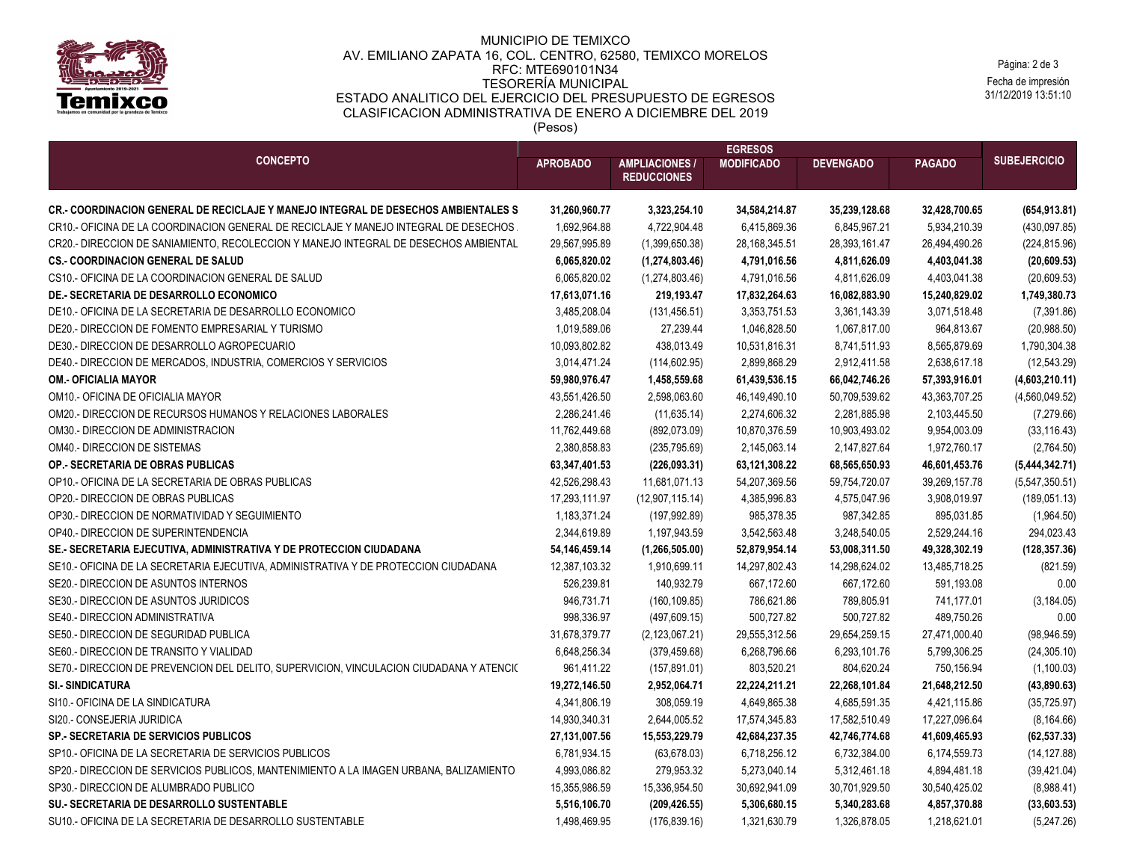

## MUNICIPIO DE TEMIXCO AV. EMILIANO ZAPATA 16, COL. CENTRO, 62580, TEMIXCO MORELOS RFC: MTE690101N34 TESORERÍA MUNICIPAL ESTADO ANALITICO DEL EJERCICIO DEL PRESUPUESTO DE EGRESOS CLASIFICACION ADMINISTRATIVA DE ENERO A DICIEMBRE DEL 2019 (Pesos)

Fecha de impresión 31/12/2019 13:51:10 Página: 2 de 3

| <b>CONCEPTO</b>                                                                                                                                                                   | <b>EGRESOS</b>                |                                             |                               |                  |                               |                             |
|-----------------------------------------------------------------------------------------------------------------------------------------------------------------------------------|-------------------------------|---------------------------------------------|-------------------------------|------------------|-------------------------------|-----------------------------|
|                                                                                                                                                                                   | <b>APROBADO</b>               | <b>AMPLIACIONES /</b><br><b>REDUCCIONES</b> | <b>MODIFICADO</b>             | <b>DEVENGADO</b> | <b>PAGADO</b>                 | <b>SUBEJERCICIO</b>         |
|                                                                                                                                                                                   |                               |                                             |                               |                  |                               |                             |
| <b>CR.- COORDINACION GENERAL DE RECICLAJE Y MANEJO INTEGRAL DE DESECHOS AMBIENTALES S</b><br>CR10.- OFICINA DE LA COORDINACION GENERAL DE RECICLAJE Y MANEJO INTEGRAL DE DESECHOS | 31,260,960.77<br>1,692,964.88 | 3,323,254.10                                | 34,584,214.87<br>6,415,869.36 | 35,239,128.68    | 32,428,700.65<br>5,934,210.39 | (654, 913.81)               |
|                                                                                                                                                                                   |                               | 4,722,904.48                                |                               | 6,845,967.21     |                               | (430,097.85)                |
| CR20.- DIRECCION DE SANIAMIENTO, RECOLECCION Y MANEJO INTEGRAL DE DESECHOS AMBIENTAL<br><b>CS. COORDINACION GENERAL DE SALUD</b>                                                  | 29,567,995.89                 | (1,399,650.38)                              | 28,168,345.51                 | 28,393,161.47    | 26,494,490.26                 | (224, 815.96)               |
| CS10.- OFICINA DE LA COORDINACION GENERAL DE SALUD                                                                                                                                | 6,065,820.02                  | (1,274,803.46)                              | 4,791,016.56                  | 4,811,626.09     | 4,403,041.38<br>4,403,041.38  | (20, 609.53)                |
|                                                                                                                                                                                   | 6,065,820.02                  | (1, 274, 803.46)                            | 4,791,016.56                  | 4,811,626.09     |                               | (20,609.53)                 |
| DE.- SECRETARIA DE DESARROLLO ECONOMICO                                                                                                                                           | 17,613,071.16                 | 219,193.47                                  | 17,832,264.63                 | 16,082,883.90    | 15,240,829.02                 | 1,749,380.73<br>(7, 391.86) |
| DE10.- OFICINA DE LA SECRETARIA DE DESARROLLO ECONOMICO                                                                                                                           | 3,485,208.04                  | (131, 456.51)                               | 3,353,751.53                  | 3,361,143.39     | 3,071,518.48                  |                             |
| DE20.- DIRECCION DE FOMENTO EMPRESARIAL Y TURISMO                                                                                                                                 | 1,019,589.06                  | 27,239.44                                   | 1,046,828.50                  | 1,067,817.00     | 964,813.67                    | (20,988.50)                 |
| DE30.- DIRECCION DE DESARROLLO AGROPECUARIO                                                                                                                                       | 10,093,802.82                 | 438,013.49                                  | 10,531,816.31                 | 8,741,511.93     | 8,565,879.69                  | 1,790,304.38                |
| DE40.- DIRECCION DE MERCADOS, INDUSTRIA, COMERCIOS Y SERVICIOS                                                                                                                    | 3,014,471.24                  | (114, 602.95)                               | 2,899,868.29                  | 2,912,411.58     | 2,638,617.18                  | (12, 543.29)                |
| <b>OM.- OFICIALIA MAYOR</b>                                                                                                                                                       | 59,980,976.47                 | 1,458,559.68                                | 61,439,536.15                 | 66,042,746.26    | 57,393,916.01                 | (4,603,210.11)              |
| OM10.- OFICINA DE OFICIALIA MAYOR                                                                                                                                                 | 43,551,426.50                 | 2,598,063.60                                | 46,149,490.10                 | 50,709,539.62    | 43,363,707.25                 | (4,560,049.52)              |
| OM20.- DIRECCION DE RECURSOS HUMANOS Y RELACIONES LABORALES                                                                                                                       | 2,286,241.46                  | (11, 635.14)                                | 2,274,606.32                  | 2,281,885.98     | 2,103,445.50                  | (7, 279.66)                 |
| OM30.- DIRECCION DE ADMINISTRACION                                                                                                                                                | 11,762,449.68                 | (892, 073.09)                               | 10,870,376.59                 | 10,903,493.02    | 9,954,003.09                  | (33, 116.43)                |
| <b>OM40.- DIRECCION DE SISTEMAS</b>                                                                                                                                               | 2,380,858.83                  | (235, 795.69)                               | 2,145,063.14                  | 2,147,827.64     | 1,972,760.17                  | (2,764.50)                  |
| OP. SECRETARIA DE OBRAS PUBLICAS                                                                                                                                                  | 63,347,401.53                 | (226, 093.31)                               | 63,121,308.22                 | 68,565,650.93    | 46,601,453.76                 | (5,444,342.71)              |
| OP10.- OFICINA DE LA SECRETARIA DE OBRAS PUBLICAS                                                                                                                                 | 42,526,298.43                 | 11,681,071.13                               | 54,207,369.56                 | 59,754,720.07    | 39,269,157.78                 | (5,547,350.51)              |
| OP20.- DIRECCION DE OBRAS PUBLICAS                                                                                                                                                | 17,293,111.97                 | (12,907,115.14)                             | 4,385,996.83                  | 4,575,047.96     | 3,908,019.97                  | (189, 051.13)               |
| OP30.- DIRECCION DE NORMATIVIDAD Y SEGUIMIENTO                                                                                                                                    | 1,183,371.24                  | (197, 992.89)                               | 985,378.35                    | 987,342.85       | 895,031.85                    | (1,964.50)                  |
| OP40.- DIRECCION DE SUPERINTENDENCIA                                                                                                                                              | 2,344,619.89                  | 1,197,943.59                                | 3,542,563.48                  | 3,248,540.05     | 2,529,244.16                  | 294,023.43                  |
| SE.- SECRETARIA EJECUTIVA, ADMINISTRATIVA Y DE PROTECCION CIUDADANA                                                                                                               | 54, 146, 459. 14              | (1,266,505.00)                              | 52,879,954.14                 | 53,008,311.50    | 49,328,302.19                 | (128, 357.36)               |
| SE10.- OFICINA DE LA SECRETARIA EJECUTIVA, ADMINISTRATIVA Y DE PROTECCION CIUDADANA                                                                                               | 12,387,103.32                 | 1,910,699.11                                | 14,297,802.43                 | 14,298,624.02    | 13,485,718.25                 | (821.59)                    |
| SE20.- DIRECCION DE ASUNTOS INTERNOS                                                                                                                                              | 526,239.81                    | 140,932.79                                  | 667,172.60                    | 667,172.60       | 591,193.08                    | 0.00                        |
| SE30.- DIRECCION DE ASUNTOS JURIDICOS                                                                                                                                             | 946,731.71                    | (160, 109.85)                               | 786,621.86                    | 789,805.91       | 741,177.01                    | (3, 184.05)                 |
| SE40.- DIRECCION ADMINISTRATIVA                                                                                                                                                   | 998,336.97                    | (497, 609.15)                               | 500,727.82                    | 500,727.82       | 489,750.26                    | 0.00                        |
| SE50.- DIRECCION DE SEGURIDAD PUBLICA                                                                                                                                             | 31,678,379.77                 | (2, 123, 067.21)                            | 29,555,312.56                 | 29,654,259.15    | 27,471,000.40                 | (98, 946.59)                |
| SE60.- DIRECCION DE TRANSITO Y VIALIDAD                                                                                                                                           | 6,648,256.34                  | (379, 459.68)                               | 6,268,796.66                  | 6,293,101.76     | 5,799,306.25                  | (24, 305.10)                |
| SE70.- DIRECCION DE PREVENCION DEL DELITO, SUPERVICION, VINCULACION CIUDADANA Y ATENCI(                                                                                           | 961,411.22                    | (157, 891.01)                               | 803,520.21                    | 804,620.24       | 750,156.94                    | (1,100.03)                  |
| <b>SI. SINDICATURA</b>                                                                                                                                                            | 19,272,146.50                 | 2,952,064.71                                | 22,224,211.21                 | 22,268,101.84    | 21,648,212.50                 | (43,890.63)                 |
| SI10.- OFICINA DE LA SINDICATURA                                                                                                                                                  | 4,341,806.19                  | 308,059.19                                  | 4,649,865.38                  | 4,685,591.35     | 4,421,115.86                  | (35, 725.97)                |
| SI20.- CONSEJERIA JURIDICA                                                                                                                                                        | 14,930,340.31                 | 2,644,005.52                                | 17,574,345.83                 | 17,582,510.49    | 17,227,096.64                 | (8, 164.66)                 |
| <b>SP.- SECRETARIA DE SERVICIOS PUBLICOS</b>                                                                                                                                      | 27,131,007.56                 | 15,553,229.79                               | 42,684,237.35                 | 42,746,774.68    | 41,609,465.93                 | (62, 537.33)                |
| SP10.- OFICINA DE LA SECRETARIA DE SERVICIOS PUBLICOS                                                                                                                             | 6,781,934.15                  | (63, 678.03)                                | 6,718,256.12                  | 6,732,384.00     | 6,174,559.73                  | (14, 127.88)                |
| SP20.- DIRECCION DE SERVICIOS PUBLICOS, MANTENIMIENTO A LA IMAGEN URBANA, BALIZAMIENTO                                                                                            | 4,993,086.82                  | 279,953.32                                  | 5,273,040.14                  | 5,312,461.18     | 4,894,481.18                  | (39, 421.04)                |
| SP30.- DIRECCION DE ALUMBRADO PUBLICO                                                                                                                                             | 15,355,986.59                 | 15,336,954.50                               | 30,692,941.09                 | 30,701,929.50    | 30,540,425.02                 | (8,988.41)                  |
| SU.- SECRETARIA DE DESARROLLO SUSTENTABLE                                                                                                                                         | 5,516,106.70                  | (209, 426.55)                               | 5,306,680.15                  | 5,340,283.68     | 4,857,370.88                  | (33,603.53)                 |
| SU10.- OFICINA DE LA SECRETARIA DE DESARROLLO SUSTENTABLE                                                                                                                         | 1,498,469.95                  | (176, 839.16)                               | 1,321,630.79                  | 1,326,878.05     | 1,218,621.01                  | (5,247.26)                  |